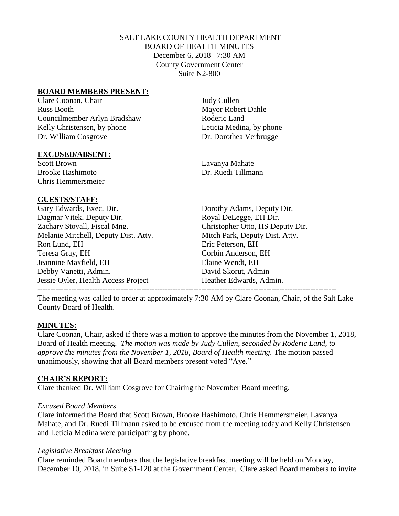## SALT LAKE COUNTY HEALTH DEPARTMENT BOARD OF HEALTH MINUTES December 6, 2018 7:30 AM County Government Center Suite N2-800

#### **BOARD MEMBERS PRESENT:**

Clare Coonan, Chair Judy Cullen Russ Booth Mayor Robert Dahle Councilmember Arlyn Bradshaw Roderic Land Kelly Christensen, by phone Leticia Medina, by phone Dr. William Cosgrove Dr. Dorothea Verbrugge

### **EXCUSED/ABSENT:**

Scott Brown Lavanya Mahate Brooke Hashimoto **Dr. Ruedi** Tillmann Chris Hemmersmeier

## **GUESTS/STAFF:**

Gary Edwards, Exec. Dir. Dorothy Adams, Deputy Dir. Dagmar Vitek, Deputy Dir. Royal DeLegge, EH Dir. Zachary Stovall, Fiscal Mng. Christopher Otto, HS Deputy Dir. Melanie Mitchell, Deputy Dist. Atty. Mitch Park, Deputy Dist. Atty. Ron Lund, EH Eric Peterson, EH Teresa Gray, EH Corbin Anderson, EH Jeannine Maxfield, EH Elaine Wendt, EH Debby Vanetti, Admin. David Skorut, Admin Jessie Oyler, Health Access Project Heather Edwards, Admin.

The meeting was called to order at approximately 7:30 AM by Clare Coonan, Chair, of the Salt Lake County Board of Health.

## **MINUTES:**

Clare Coonan, Chair, asked if there was a motion to approve the minutes from the November 1, 2018, Board of Health meeting. *The motion was made by Judy Cullen, seconded by Roderic Land, to approve the minutes from the November 1, 2018, Board of Health meeting.* The motion passed unanimously, showing that all Board members present voted "Aye."

## **CHAIR'S REPORT:**

Clare thanked Dr. William Cosgrove for Chairing the November Board meeting.

#### *Excused Board Members*

Clare informed the Board that Scott Brown, Brooke Hashimoto, Chris Hemmersmeier, Lavanya Mahate, and Dr. Ruedi Tillmann asked to be excused from the meeting today and Kelly Christensen and Leticia Medina were participating by phone.

#### *Legislative Breakfast Meeting*

Clare reminded Board members that the legislative breakfast meeting will be held on Monday, December 10, 2018, in Suite S1-120 at the Government Center. Clare asked Board members to invite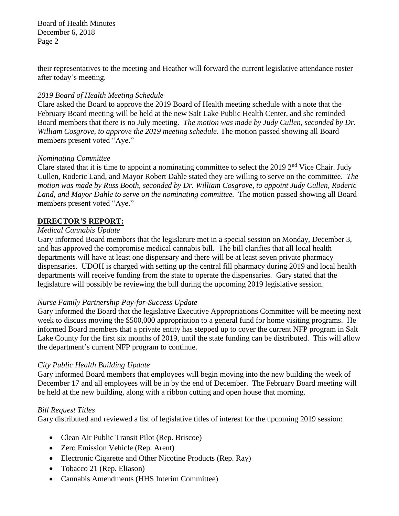their representatives to the meeting and Heather will forward the current legislative attendance roster after today's meeting.

## *2019 Board of Health Meeting Schedule*

Clare asked the Board to approve the 2019 Board of Health meeting schedule with a note that the February Board meeting will be held at the new Salt Lake Public Health Center, and she reminded Board members that there is no July meeting. *The motion was made by Judy Cullen, seconded by Dr. William Cosgrove, to approve the 2019 meeting schedule.* The motion passed showing all Board members present voted "Aye."

## *Nominating Committee*

Clare stated that it is time to appoint a nominating committee to select the 2019  $2<sup>nd</sup>$  Vice Chair. Judy Cullen, Roderic Land, and Mayor Robert Dahle stated they are willing to serve on the committee. *The motion was made by Russ Booth, seconded by Dr. William Cosgrove, to appoint Judy Cullen, Roderic Land, and Mayor Dahle to serve on the nominating committee.* The motion passed showing all Board members present voted "Aye."

# **DIRECTOR***'***S REPORT:**

## *Medical Cannabis Update*

Gary informed Board members that the legislature met in a special session on Monday, December 3, and has approved the compromise medical cannabis bill. The bill clarifies that all local health departments will have at least one dispensary and there will be at least seven private pharmacy dispensaries. UDOH is charged with setting up the central fill pharmacy during 2019 and local health departments will receive funding from the state to operate the dispensaries. Gary stated that the legislature will possibly be reviewing the bill during the upcoming 2019 legislative session.

## *Nurse Family Partnership Pay-for-Success Update*

Gary informed the Board that the legislative Executive Appropriations Committee will be meeting next week to discuss moving the \$500,000 appropriation to a general fund for home visiting programs. He informed Board members that a private entity has stepped up to cover the current NFP program in Salt Lake County for the first six months of 2019, until the state funding can be distributed. This will allow the department's current NFP program to continue.

## *City Public Health Building Update*

Gary informed Board members that employees will begin moving into the new building the week of December 17 and all employees will be in by the end of December. The February Board meeting will be held at the new building, along with a ribbon cutting and open house that morning.

## *Bill Request Titles*

Gary distributed and reviewed a list of legislative titles of interest for the upcoming 2019 session:

- Clean Air Public Transit Pilot (Rep. Briscoe)
- Zero Emission Vehicle (Rep. Arent)
- Electronic Cigarette and Other Nicotine Products (Rep. Ray)
- Tobacco 21 (Rep. Eliason)
- Cannabis Amendments (HHS Interim Committee)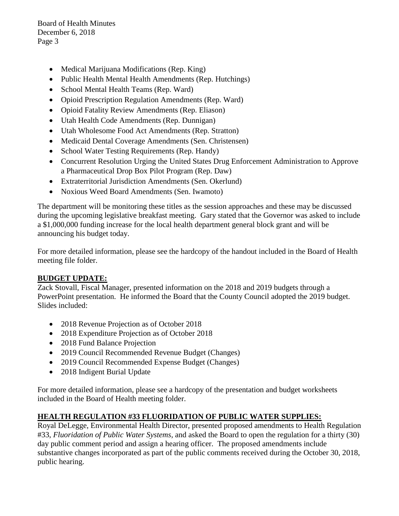- Medical Marijuana Modifications (Rep. King)
- Public Health Mental Health Amendments (Rep. Hutchings)
- School Mental Health Teams (Rep. Ward)
- Opioid Prescription Regulation Amendments (Rep. Ward)
- Opioid Fatality Review Amendments (Rep. Eliason)
- Utah Health Code Amendments (Rep. Dunnigan)
- Utah Wholesome Food Act Amendments (Rep. Stratton)
- Medicaid Dental Coverage Amendments (Sen. Christensen)
- School Water Testing Requirements (Rep. Handy)
- Concurrent Resolution Urging the United States Drug Enforcement Administration to Approve a Pharmaceutical Drop Box Pilot Program (Rep. Daw)
- Extraterritorial Jurisdiction Amendments (Sen. Okerlund)
- Noxious Weed Board Amendments (Sen. Iwamoto)

The department will be monitoring these titles as the session approaches and these may be discussed during the upcoming legislative breakfast meeting. Gary stated that the Governor was asked to include a \$1,000,000 funding increase for the local health department general block grant and will be announcing his budget today.

For more detailed information, please see the hardcopy of the handout included in the Board of Health meeting file folder.

## **BUDGET UPDATE:**

Zack Stovall, Fiscal Manager, presented information on the 2018 and 2019 budgets through a PowerPoint presentation. He informed the Board that the County Council adopted the 2019 budget. Slides included:

- 2018 Revenue Projection as of October 2018
- 2018 Expenditure Projection as of October 2018
- 2018 Fund Balance Projection
- 2019 Council Recommended Revenue Budget (Changes)
- 2019 Council Recommended Expense Budget (Changes)
- 2018 Indigent Burial Update

For more detailed information, please see a hardcopy of the presentation and budget worksheets included in the Board of Health meeting folder.

## **HEALTH REGULATION #33 FLUORIDATION OF PUBLIC WATER SUPPLIES:**

Royal DeLegge, Environmental Health Director, presented proposed amendments to Health Regulation #33, *Fluoridation of Public Water Systems,* and asked the Board to open the regulation for a thirty (30) day public comment period and assign a hearing officer. The proposed amendments include substantive changes incorporated as part of the public comments received during the October 30, 2018, public hearing.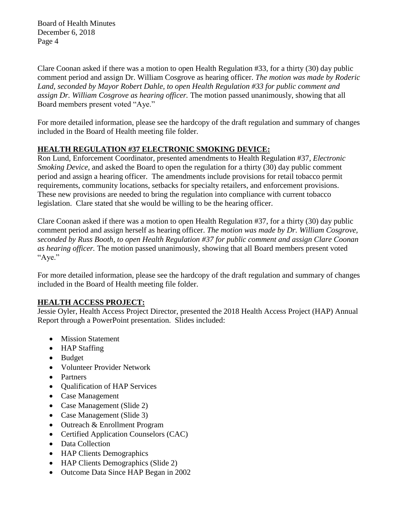Clare Coonan asked if there was a motion to open Health Regulation #33, for a thirty (30) day public comment period and assign Dr. William Cosgrove as hearing officer. *The motion was made by Roderic Land, seconded by Mayor Robert Dahle, to open Health Regulation #33 for public comment and assign Dr. William Cosgrove as hearing officer.* The motion passed unanimously, showing that all Board members present voted "Aye."

For more detailed information, please see the hardcopy of the draft regulation and summary of changes included in the Board of Health meeting file folder.

# **HEALTH REGULATION #37 ELECTRONIC SMOKING DEVICE:**

Ron Lund, Enforcement Coordinator, presented amendments to Health Regulation #37, *Electronic Smoking Device,* and asked the Board to open the regulation for a thirty (30) day public comment period and assign a hearing officer. The amendments include provisions for retail tobacco permit requirements, community locations, setbacks for specialty retailers, and enforcement provisions. These new provisions are needed to bring the regulation into compliance with current tobacco legislation. Clare stated that she would be willing to be the hearing officer.

Clare Coonan asked if there was a motion to open Health Regulation #37, for a thirty (30) day public comment period and assign herself as hearing officer. *The motion was made by Dr. William Cosgrove, seconded by Russ Booth, to open Health Regulation #37 for public comment and assign Clare Coonan as hearing officer.* The motion passed unanimously, showing that all Board members present voted "Aye."

For more detailed information, please see the hardcopy of the draft regulation and summary of changes included in the Board of Health meeting file folder.

## **HEALTH ACCESS PROJECT:**

Jessie Oyler, Health Access Project Director, presented the 2018 Health Access Project (HAP) Annual Report through a PowerPoint presentation. Slides included:

- Mission Statement
- HAP Staffing
- Budget
- Volunteer Provider Network
- Partners
- Qualification of HAP Services
- Case Management
- Case Management (Slide 2)
- Case Management (Slide 3)
- Outreach & Enrollment Program
- Certified Application Counselors (CAC)
- Data Collection
- HAP Clients Demographics
- HAP Clients Demographics (Slide 2)
- Outcome Data Since HAP Began in 2002